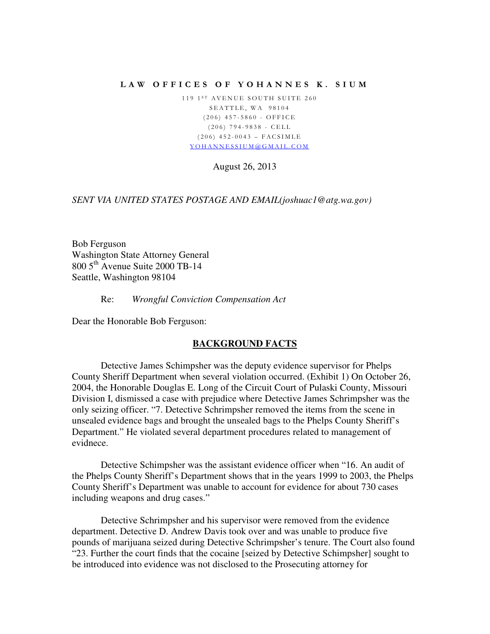## LAW OFFICES OF YOHANNES K. SIUM

119 1<sup>ST</sup> AVENUE SOUTH SUITE 260 SEATTLE, WA 98104  $(206)$  457-5860 - OFFICE  $(206)$  794-9838 - CELL  $(206)$  452-0043 – FACSIMLE Y O H A N N E S S I U M @ G M A I L . C O M

August 26, 2013

*SENT VIA UNITED STATES POSTAGE AND EMAIL(joshuac1@atg.wa.gov)* 

Bob Ferguson Washington State Attorney General 800 5th Avenue Suite 2000 TB-14 Seattle, Washington 98104

Re: *Wrongful Conviction Compensation Act*

Dear the Honorable Bob Ferguson:

## **BACKGROUND FACTS**

Detective James Schimpsher was the deputy evidence supervisor for Phelps County Sheriff Department when several violation occurred. (Exhibit 1) On October 26, 2004, the Honorable Douglas E. Long of the Circuit Court of Pulaski County, Missouri Division I, dismissed a case with prejudice where Detective James Schrimpsher was the only seizing officer. "7. Detective Schrimpsher removed the items from the scene in unsealed evidence bags and brought the unsealed bags to the Phelps County Sheriff's Department." He violated several department procedures related to management of evidnece.

Detective Schimpsher was the assistant evidence officer when "16. An audit of the Phelps County Sheriff's Department shows that in the years 1999 to 2003, the Phelps County Sheriff's Department was unable to account for evidence for about 730 cases including weapons and drug cases."

Detective Schrimpsher and his supervisor were removed from the evidence department. Detective D. Andrew Davis took over and was unable to produce five pounds of marijuana seized during Detective Schrimpsher's tenure. The Court also found "23. Further the court finds that the cocaine [seized by Detective Schimpsher] sought to be introduced into evidence was not disclosed to the Prosecuting attorney for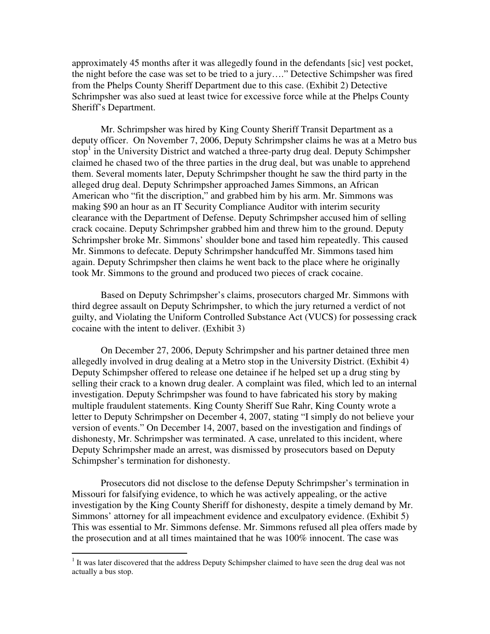approximately 45 months after it was allegedly found in the defendants [sic] vest pocket, the night before the case was set to be tried to a jury…." Detective Schimpsher was fired from the Phelps County Sheriff Department due to this case. (Exhibit 2) Detective Schrimpsher was also sued at least twice for excessive force while at the Phelps County Sheriff's Department.

 Mr. Schrimpsher was hired by King County Sheriff Transit Department as a deputy officer. On November 7, 2006, Deputy Schrimpsher claims he was at a Metro bus stop<sup>1</sup> in the University District and watched a three-party drug deal. Deputy Schimpsher claimed he chased two of the three parties in the drug deal, but was unable to apprehend them. Several moments later, Deputy Schrimpsher thought he saw the third party in the alleged drug deal. Deputy Schrimpsher approached James Simmons, an African American who "fit the discription," and grabbed him by his arm. Mr. Simmons was making \$90 an hour as an IT Security Compliance Auditor with interim security clearance with the Department of Defense. Deputy Schrimpsher accused him of selling crack cocaine. Deputy Schrimpsher grabbed him and threw him to the ground. Deputy Schrimpsher broke Mr. Simmons' shoulder bone and tased him repeatedly. This caused Mr. Simmons to defecate. Deputy Schrimpsher handcuffed Mr. Simmons tased him again. Deputy Schrimpsher then claims he went back to the place where he originally took Mr. Simmons to the ground and produced two pieces of crack cocaine.

Based on Deputy Schrimpsher's claims, prosecutors charged Mr. Simmons with third degree assault on Deputy Schrimpsher, to which the jury returned a verdict of not guilty, and Violating the Uniform Controlled Substance Act (VUCS) for possessing crack cocaine with the intent to deliver. (Exhibit 3)

On December 27, 2006, Deputy Schrimpsher and his partner detained three men allegedly involved in drug dealing at a Metro stop in the University District. (Exhibit 4) Deputy Schimpsher offered to release one detainee if he helped set up a drug sting by selling their crack to a known drug dealer. A complaint was filed, which led to an internal investigation. Deputy Schrimpsher was found to have fabricated his story by making multiple fraudulent statements. King County Sheriff Sue Rahr, King County wrote a letter to Deputy Schrimpsher on December 4, 2007, stating "I simply do not believe your version of events." On December 14, 2007, based on the investigation and findings of dishonesty, Mr. Schrimpsher was terminated. A case, unrelated to this incident, where Deputy Schrimpsher made an arrest, was dismissed by prosecutors based on Deputy Schimpsher's termination for dishonesty.

Prosecutors did not disclose to the defense Deputy Schrimpsher's termination in Missouri for falsifying evidence, to which he was actively appealing, or the active investigation by the King County Sheriff for dishonesty, despite a timely demand by Mr. Simmons' attorney for all impeachment evidence and exculpatory evidence. (Exhibit 5) This was essential to Mr. Simmons defense. Mr. Simmons refused all plea offers made by the prosecution and at all times maintained that he was 100% innocent. The case was

<sup>&</sup>lt;sup>1</sup> It was later discovered that the address Deputy Schimpsher claimed to have seen the drug deal was not actually a bus stop.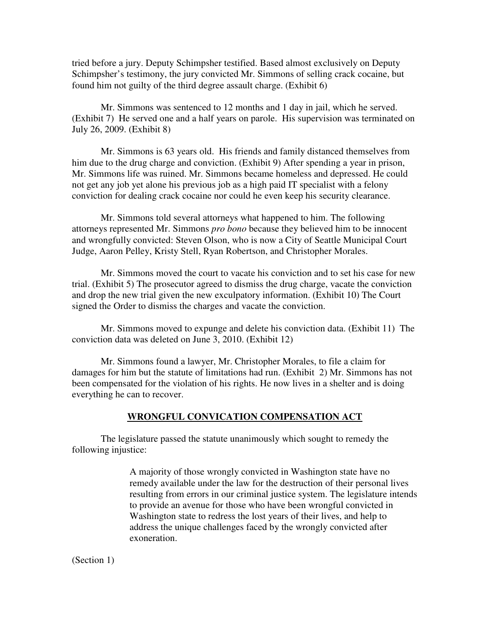tried before a jury. Deputy Schimpsher testified. Based almost exclusively on Deputy Schimpsher's testimony, the jury convicted Mr. Simmons of selling crack cocaine, but found him not guilty of the third degree assault charge. (Exhibit 6)

Mr. Simmons was sentenced to 12 months and 1 day in jail, which he served. (Exhibit 7) He served one and a half years on parole. His supervision was terminated on July 26, 2009. (Exhibit 8)

Mr. Simmons is 63 years old. His friends and family distanced themselves from him due to the drug charge and conviction. (Exhibit 9) After spending a year in prison, Mr. Simmons life was ruined. Mr. Simmons became homeless and depressed. He could not get any job yet alone his previous job as a high paid IT specialist with a felony conviction for dealing crack cocaine nor could he even keep his security clearance.

Mr. Simmons told several attorneys what happened to him. The following attorneys represented Mr. Simmons *pro bono* because they believed him to be innocent and wrongfully convicted: Steven Olson, who is now a City of Seattle Municipal Court Judge, Aaron Pelley, Kristy Stell, Ryan Robertson, and Christopher Morales.

Mr. Simmons moved the court to vacate his conviction and to set his case for new trial. (Exhibit 5) The prosecutor agreed to dismiss the drug charge, vacate the conviction and drop the new trial given the new exculpatory information. (Exhibit 10) The Court signed the Order to dismiss the charges and vacate the conviction.

Mr. Simmons moved to expunge and delete his conviction data. (Exhibit 11) The conviction data was deleted on June 3, 2010. (Exhibit 12)

Mr. Simmons found a lawyer, Mr. Christopher Morales, to file a claim for damages for him but the statute of limitations had run. (Exhibit 2) Mr. Simmons has not been compensated for the violation of his rights. He now lives in a shelter and is doing everything he can to recover.

## **WRONGFUL CONVICATION COMPENSATION ACT**

 The legislature passed the statute unanimously which sought to remedy the following injustice:

> A majority of those wrongly convicted in Washington state have no remedy available under the law for the destruction of their personal lives resulting from errors in our criminal justice system. The legislature intends to provide an avenue for those who have been wrongful convicted in Washington state to redress the lost years of their lives, and help to address the unique challenges faced by the wrongly convicted after exoneration.

(Section 1)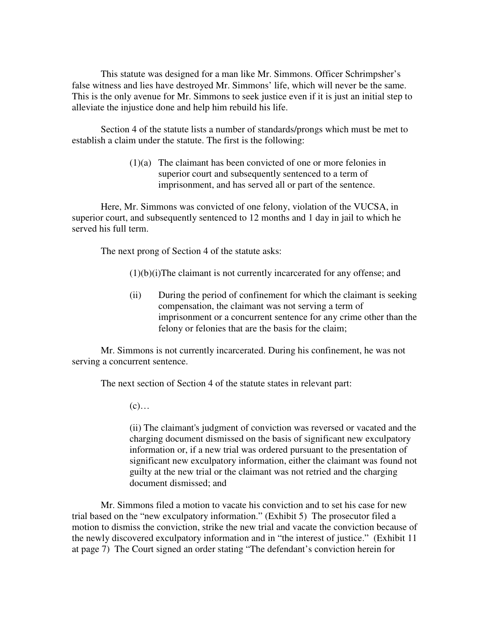This statute was designed for a man like Mr. Simmons. Officer Schrimpsher's false witness and lies have destroyed Mr. Simmons' life, which will never be the same. This is the only avenue for Mr. Simmons to seek justice even if it is just an initial step to alleviate the injustice done and help him rebuild his life.

 Section 4 of the statute lists a number of standards/prongs which must be met to establish a claim under the statute. The first is the following:

> (1)(a) The claimant has been convicted of one or more felonies in superior court and subsequently sentenced to a term of imprisonment, and has served all or part of the sentence.

Here, Mr. Simmons was convicted of one felony, violation of the VUCSA, in superior court, and subsequently sentenced to 12 months and 1 day in jail to which he served his full term.

The next prong of Section 4 of the statute asks:

 $(1)(b)(i)$ The claimant is not currently incarcerated for any offense; and

(ii) During the period of confinement for which the claimant is seeking compensation, the claimant was not serving a term of imprisonment or a concurrent sentence for any crime other than the felony or felonies that are the basis for the claim;

 Mr. Simmons is not currently incarcerated. During his confinement, he was not serving a concurrent sentence.

The next section of Section 4 of the statute states in relevant part:

 $(c)$ …

(ii) The claimant's judgment of conviction was reversed or vacated and the charging document dismissed on the basis of significant new exculpatory information or, if a new trial was ordered pursuant to the presentation of significant new exculpatory information, either the claimant was found not guilty at the new trial or the claimant was not retried and the charging document dismissed; and

 Mr. Simmons filed a motion to vacate his conviction and to set his case for new trial based on the "new exculpatory information." (Exhibit 5) The prosecutor filed a motion to dismiss the conviction, strike the new trial and vacate the conviction because of the newly discovered exculpatory information and in "the interest of justice." (Exhibit 11 at page 7) The Court signed an order stating "The defendant's conviction herein for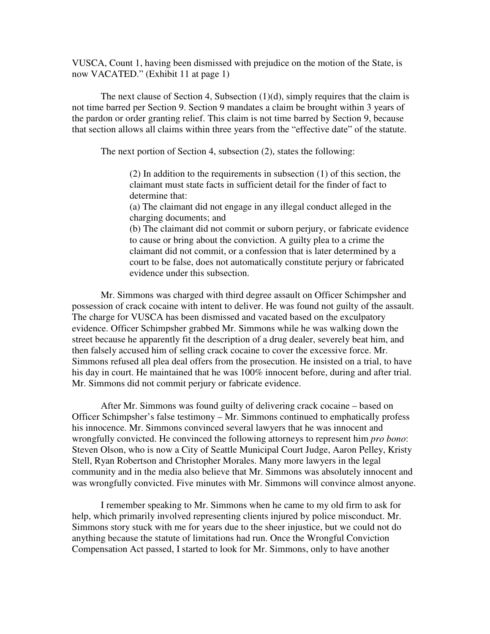VUSCA, Count 1, having been dismissed with prejudice on the motion of the State, is now VACATED." (Exhibit 11 at page 1)

The next clause of Section 4, Subsection  $(1)(d)$ , simply requires that the claim is not time barred per Section 9. Section 9 mandates a claim be brought within 3 years of the pardon or order granting relief. This claim is not time barred by Section 9, because that section allows all claims within three years from the "effective date" of the statute.

The next portion of Section 4, subsection (2), states the following:

(2) In addition to the requirements in subsection (1) of this section, the claimant must state facts in sufficient detail for the finder of fact to determine that:

(a) The claimant did not engage in any illegal conduct alleged in the charging documents; and

(b) The claimant did not commit or suborn perjury, or fabricate evidence to cause or bring about the conviction. A guilty plea to a crime the claimant did not commit, or a confession that is later determined by a court to be false, does not automatically constitute perjury or fabricated evidence under this subsection.

 Mr. Simmons was charged with third degree assault on Officer Schimpsher and possession of crack cocaine with intent to deliver. He was found not guilty of the assault. The charge for VUSCA has been dismissed and vacated based on the exculpatory evidence. Officer Schimpsher grabbed Mr. Simmons while he was walking down the street because he apparently fit the description of a drug dealer, severely beat him, and then falsely accused him of selling crack cocaine to cover the excessive force. Mr. Simmons refused all plea deal offers from the prosecution. He insisted on a trial, to have his day in court. He maintained that he was 100% innocent before, during and after trial. Mr. Simmons did not commit perjury or fabricate evidence.

After Mr. Simmons was found guilty of delivering crack cocaine – based on Officer Schimpsher's false testimony – Mr. Simmons continued to emphatically profess his innocence. Mr. Simmons convinced several lawyers that he was innocent and wrongfully convicted. He convinced the following attorneys to represent him *pro bono*: Steven Olson, who is now a City of Seattle Municipal Court Judge, Aaron Pelley, Kristy Stell, Ryan Robertson and Christopher Morales. Many more lawyers in the legal community and in the media also believe that Mr. Simmons was absolutely innocent and was wrongfully convicted. Five minutes with Mr. Simmons will convince almost anyone.

I remember speaking to Mr. Simmons when he came to my old firm to ask for help, which primarily involved representing clients injured by police misconduct. Mr. Simmons story stuck with me for years due to the sheer injustice, but we could not do anything because the statute of limitations had run. Once the Wrongful Conviction Compensation Act passed, I started to look for Mr. Simmons, only to have another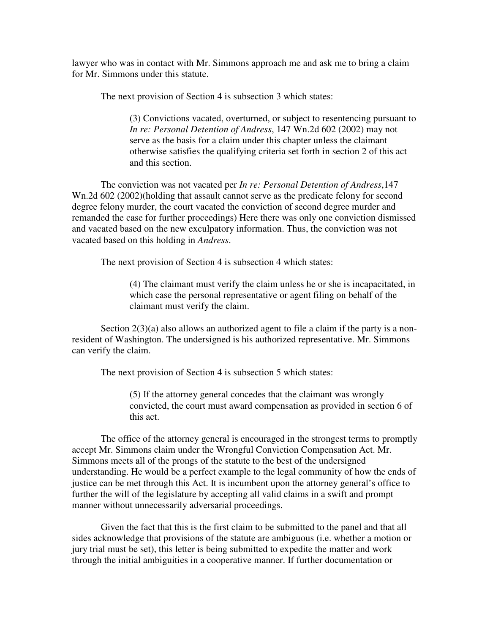lawyer who was in contact with Mr. Simmons approach me and ask me to bring a claim for Mr. Simmons under this statute.

The next provision of Section 4 is subsection 3 which states:

(3) Convictions vacated, overturned, or subject to resentencing pursuant to *In re: Personal Detention of Andress*, 147 Wn.2d 602 (2002) may not serve as the basis for a claim under this chapter unless the claimant otherwise satisfies the qualifying criteria set forth in section 2 of this act and this section.

 The conviction was not vacated per *In re: Personal Detention of Andress*,147 Wn.2d 602 (2002)(holding that assault cannot serve as the predicate felony for second degree felony murder, the court vacated the conviction of second degree murder and remanded the case for further proceedings) Here there was only one conviction dismissed and vacated based on the new exculpatory information. Thus, the conviction was not vacated based on this holding in *Andress*.

The next provision of Section 4 is subsection 4 which states:

(4) The claimant must verify the claim unless he or she is incapacitated, in which case the personal representative or agent filing on behalf of the claimant must verify the claim.

Section  $2(3)(a)$  also allows an authorized agent to file a claim if the party is a nonresident of Washington. The undersigned is his authorized representative. Mr. Simmons can verify the claim.

The next provision of Section 4 is subsection 5 which states:

(5) If the attorney general concedes that the claimant was wrongly convicted, the court must award compensation as provided in section 6 of this act.

 The office of the attorney general is encouraged in the strongest terms to promptly accept Mr. Simmons claim under the Wrongful Conviction Compensation Act. Mr. Simmons meets all of the prongs of the statute to the best of the undersigned understanding. He would be a perfect example to the legal community of how the ends of justice can be met through this Act. It is incumbent upon the attorney general's office to further the will of the legislature by accepting all valid claims in a swift and prompt manner without unnecessarily adversarial proceedings.

Given the fact that this is the first claim to be submitted to the panel and that all sides acknowledge that provisions of the statute are ambiguous (i.e. whether a motion or jury trial must be set), this letter is being submitted to expedite the matter and work through the initial ambiguities in a cooperative manner. If further documentation or